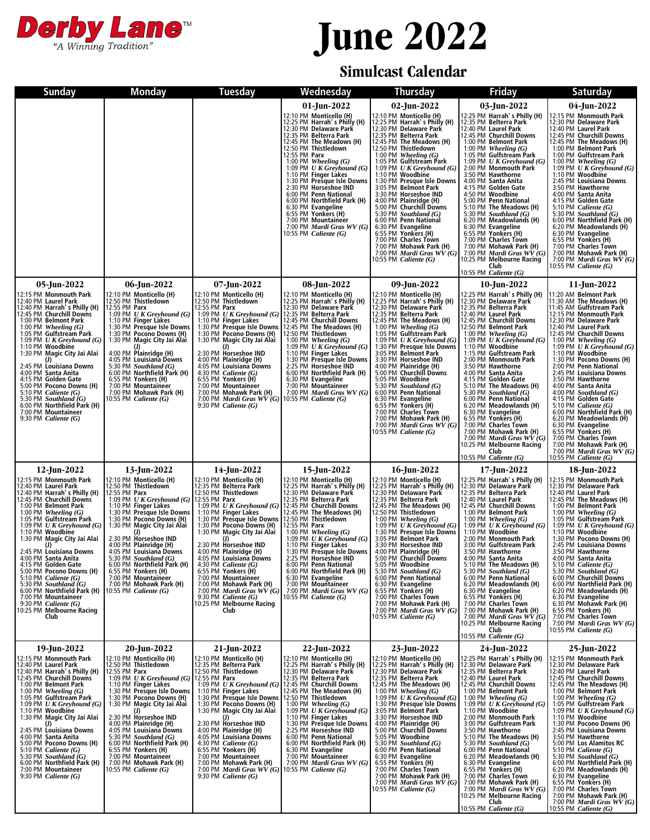

## **June 2022**

## **Simulcast Calendar**

| <b>Sunday</b>                                                                                                                                                                                                                                                                                                                                                                                                                                                                                                                                                                 | <b>Monday</b>                                                                                                                                                                                                                                                                                                                                                                                                                                                                                | <b>Tuesday</b>                                                                                                                                                                                                                                                                                                                                                                                                                                                                                                                                                                                                                                                                                                           | Wednesday                                                                                                                                                                                                                                                                                                                                                                                                                                                                                                                         | <b>Thursday</b>                                                                                                                                                                                                                                                                                                                                                                                                                                                                                                                                                                                                                                      | <b>Friday</b>                                                                                                                                                                                                                                                                                                                                                                                                                                                                                                                                                                                                                                                                          | <b>Saturday</b>                                                                                                                                                                                                                                                                                                                                                                                                                                                                                                                                                                                                                                                                                                                           |
|-------------------------------------------------------------------------------------------------------------------------------------------------------------------------------------------------------------------------------------------------------------------------------------------------------------------------------------------------------------------------------------------------------------------------------------------------------------------------------------------------------------------------------------------------------------------------------|----------------------------------------------------------------------------------------------------------------------------------------------------------------------------------------------------------------------------------------------------------------------------------------------------------------------------------------------------------------------------------------------------------------------------------------------------------------------------------------------|--------------------------------------------------------------------------------------------------------------------------------------------------------------------------------------------------------------------------------------------------------------------------------------------------------------------------------------------------------------------------------------------------------------------------------------------------------------------------------------------------------------------------------------------------------------------------------------------------------------------------------------------------------------------------------------------------------------------------|-----------------------------------------------------------------------------------------------------------------------------------------------------------------------------------------------------------------------------------------------------------------------------------------------------------------------------------------------------------------------------------------------------------------------------------------------------------------------------------------------------------------------------------|------------------------------------------------------------------------------------------------------------------------------------------------------------------------------------------------------------------------------------------------------------------------------------------------------------------------------------------------------------------------------------------------------------------------------------------------------------------------------------------------------------------------------------------------------------------------------------------------------------------------------------------------------|----------------------------------------------------------------------------------------------------------------------------------------------------------------------------------------------------------------------------------------------------------------------------------------------------------------------------------------------------------------------------------------------------------------------------------------------------------------------------------------------------------------------------------------------------------------------------------------------------------------------------------------------------------------------------------------|-------------------------------------------------------------------------------------------------------------------------------------------------------------------------------------------------------------------------------------------------------------------------------------------------------------------------------------------------------------------------------------------------------------------------------------------------------------------------------------------------------------------------------------------------------------------------------------------------------------------------------------------------------------------------------------------------------------------------------------------|
|                                                                                                                                                                                                                                                                                                                                                                                                                                                                                                                                                                               |                                                                                                                                                                                                                                                                                                                                                                                                                                                                                              |                                                                                                                                                                                                                                                                                                                                                                                                                                                                                                                                                                                                                                                                                                                          | 01-Jun-2022<br>12:10 PM Monticello (H)<br>12:25 PM Harrah's Philly (H)<br>12:30 PM Delaware Park<br>12:35 PM Belterra Park<br>12:45 PM The Meadows (H)<br>12:50 PM Thistledown<br>12:55 PM Parx<br>1:00 PM Wheeling (G)<br>1:09 PM $U K G$ reyhound $(G)$<br>1:10 PM Finger Lakes<br>1:30 PM Presque Isle Downs<br>2:30 PM Horseshoe IND<br>6:00 PM Penn National<br>6:00 PM Northfield Park (H)<br>6:30 PM Evangeline<br>6:55 PM Yonkers (H)<br>7:00 PM Mountaineer<br>7:00 PM Mardi Gras WV (G)<br>10:55 PM <i>Caliente (G)</i> | 02-Jun-2022<br>12:10 PM Monticello (H)<br>12:25 PM Harrah's Philly (H)<br>12:30 PM Delaware Park<br>12:35 PM Belterra Park<br>12:45 PM The Meadows (H)<br>12:50 PM Thistledown<br>1:00 PM Wheeling $(G)$<br>1:05 PM Gulfstream Park<br>1:09 PM $U K G$ reyhound $(G)$<br>1:10 PM Woodbine<br>1:30 PM Presque Isle Downs<br>3:05 PM Belmont Park<br>3:30 PM Horseshoe IND<br>4:00 PM Plainridge (H)<br>5:00 PM Churchill Downs<br>5:30 PM Southland (G)<br>6:00 PM Penn National<br>6:30 PM Evangeline<br>6:55 PM Yonkers (H)<br>7:00 PM Charles Town<br>7:00 PM Mohawk Park (H)<br>7:00 PM <i>Mardi Gras WV</i> $(G)$<br>10:55 PM Caliente (G)       | 03-Jun-2022<br>12:25 PM Harrah's Philly (H)<br>12:35 PM Belterra Park<br>12:40 PM Laurel Park<br>12:45 PM Churchill Downs<br>1:00 PM Belmont Park<br>1:00 PM Wheeling $(G)$<br>1:05 PM Gulfstream Park<br>1:09 PM U K Greyhound $(G)$<br>2:00 PM Monmouth Park<br>3:50 PM Hawthorne<br>4:00 PM Santa Anita<br>4:15 PM Golden Gate<br>4:50 PM Woodbine<br>5:00 PM Penn National<br>5:10 PM The Meadows (H)<br>5:30 PM Southland $(G)$<br>6:20 PM Meadowlands (H)<br>6:30 PM Evangeline<br>6:55 PM Yonkers (H)<br>7:00 PM Charles Town<br>7:00 PM Mohawk Park (H)<br>7:00 PM <i>Mardi Gras WV</i> $(G)$<br>10:25 PM Melbourne Racing<br>Club<br>10:55 PM Caliente $(G)$                  | 04-Jun-2022<br>12:15 PM Monmouth Park<br>12:30 PM Delaware Park<br>12:40 PM Laurel Park<br>12:45 PM Churchill Downs<br>12:45 PM The Meadows (H)<br>1:00 PM Belmont Park<br>1:00 PM Gulfstream Park<br>1:00 PM Wheeling (G)<br>1:00 PM <i>U K Greyhound (G)</i><br>1:10 PM Woodbine<br>2:45 PM Louisiana Downs<br>3:50 PM Hawthorne<br>4:00 PM Santa Anita<br>4:15 PM Golden Gate<br>5:10 PM Caliente $(G)$<br>5:30 PM Southland (G)<br>6:00 PM Northfield Park (H)<br>6:20 PM Meadowlands (H)<br>6:30 PM Evangeline<br>6:55 PM Yonkers (H)<br>7:00 PM Charles Town<br>7:00 PM Mohawk Park (H)<br>7:00 PM <i>Mardi Gras WV</i> $(G)$<br>10:55 PM Caliente (G)                                                                              |
| 05-Jun-2022<br>12:15 PM Monmouth Park<br>12:40 PM Laurel Park<br>12:40 PM Harrah's Philly (H)<br>12:45 PM Churchill Downs<br>1:00 PM Belmont Park<br>$1:00$ PM Wheeling $(G)$<br>1:05 PM Gulfstream Park<br>1:09 PM $U K G$ reyhound (G)<br>1:10 PM Woodbine<br>1:30 PM Magic City Jai Alai<br>2:45 PM Louisiana Downs<br>4:00 PM Santa Anita<br>4:15 PM Golden Gate<br>5:00 PM Pocono Downs (H)<br>5:10 PM Caliente $(G)$<br>5:30 PM Southland $(G)$<br>6:00 PM Northfield Park (H)<br>7:00 PM Mountaineer<br>9:30 PM Caliente $(G)$                                         | 06-Jun-2022<br>12:10 PM Monticello (H)<br>12:50 PM Thistledown<br>12:55 PM Parx<br>$1.09$ PM $U$ K Greyhound (G)<br>1:10 PM Finger Lakes<br>1:30 PM Presque Isle Downs<br>1:30 PM Pocono Downs (H)<br>1:30 PM Magic City Jai Alai<br>$(1)$<br>4:00 PM Plainridge (H)<br>4:05 PM Louisiana Downs<br>5:30 PM Southland $(G)$<br>6:00 PM Northfield Park (H)<br>6:55 PM Yonkers (H)<br>7:00 PM Mountaineer<br>7:00 PM Mohawk Park (H)<br>10:55 PM <i>Caliente (G)</i>                           | 07-Jun-2022<br>12:10 PM Monticello (H)<br>12:50 PM Thistledown<br>12:55 PM Parx<br>1:09 PM U K Greyhound (G) $\begin{bmatrix} 1.09 & 1.10 & 0.01 & 0.01 & 0.01 & 0.01 & 0.01 & 0.01 & 0.01 & 0.01 & 0.01 & 0.01 & 0.01 & 0.01 & 0.01 & 0.01 & 0.01 & 0.01 & 0.01 & 0.01 & 0.01 & 0.01 & 0.01 & 0.01 & 0.01 & 0.01 & 0.01 & 0.01 & 0.01 & 0.01 & 0.01 & 0$<br>1:30 PM Presque Isle Downs<br>1:30 PM Pocono Downs (H)<br>1:30 PM Magic City Jai Alai<br>(J)<br>2:30 PM Horseshoe IND<br>4:00 PM Plainridge (H)<br>4:05 PM Louisiana Downs<br>4:30 PM <i>Caliente</i> $(G)$<br>6:55 PM Yonkers (H)<br>7:00 PM Mountaineer<br>7:00 PM Mohawk Park (H)<br>7:00 PM <i>Mardi Gras WV</i> $(G)$<br>9:30 PM <i>Caliente</i> $(G)$ | 08-Jun-2022<br>12:10 PM Monticello (H)<br>12:25 PM Harrah's Philly (H)<br>12:30 PM Delaware Park<br>12:45 PM The Meadows (H)<br>12:50 PM Thistledown<br>1:00 PM Wheeling $(G)$<br>1:09 PM UK Greyhound $(G)$<br>1:10 PM Finger Lakes<br>1:30 PM Presque Isle Downs<br>2:25 PM Horseshoe IND<br>6:00 PM Northfield Park (H)<br>6:30 PM Evangeline<br>7:00 PM Mountaineer<br>7:00 PM Mardi Gras WV (G<br>10:55 PM <i>Caliente (G)</i>                                                                                               | 09-Jun-2022<br>12:10 PM Monticello (H)<br>12:25 PM Harrah's Philly (H)<br>12:30 PM Delaware Park<br>12:35 PM Belterra Park<br>12:45 PM The Meadows (H)<br>1:00 PM Wheeling $(G)$<br>1:05 PM Gulfstream Park<br>1:09 PM $U K G$ reyhound $(G)$<br>1:30 PM Presque Isle Downs<br>3:05 PM Belmont Park<br>3:30 PM Horseshoe IND<br>4:00 PM Plainridge (H)<br>5:00 PM Churchill Downs<br>5:05 PM Woodbine<br>5:30 PM Southland (G)<br>6:00 PM Penn National<br>6:30 PM Evangeline<br>6:55 PM Yonkers (H)<br>7:00 PM Charles Town<br>7:00 PM Mohawk Park (H)<br>7:00 PM <i>Mardi Gras WV</i> $(G)$<br>10:55 PM Caliente (G)                               | 10-Jun-2022<br>12:25 PM Harrah's Philly (H)<br>12:30 PM Delaware Park<br>12:35 PM Belterra Park<br>12:40 PM Laurel Park<br>12:45 PM Churchill Downs<br>12:50 PM Belmont Park<br>1:00 PM Wheeling $(G)$<br>1:09 PM $U K G$ reyhound $(G)$<br>1:10 PM Woodbine<br>1:15 PM Gulfstream Park<br>2:00 PM Monmouth Park<br>3:50 PM Hawthorne<br>4:00 PM Santa Anita<br>4:15 PM Golden Gate<br>5:10 PM The Meadows (H)<br>5:30 PM Southland (G)<br>6:00 PM Penn National<br>6:20 PM Meadowlands (H)<br>6:30 PM Evangeline<br>6:55 PM Yonkers (H)<br>7:00 PM Charles Town<br>7:00 PM Mohawk Park (H)<br>7:00 PM Mardi Gras WV (G)<br>10:25 PM Melbourne Racing<br>Club<br>10:55 PM Caliente (G) | 11-Jun-2022<br>11:20 AM Belmont Park<br>11:30 AM The Meadows (H)<br>11:45 AM Gulfstream Park<br>12:15 PM Monmouth Park<br>12:30 PM Delaware Park<br>12:40 PM Laurel Park<br>12:45 PM Churchill Downs<br>1:00 PM Wheeling $(G)$<br>1:09 PM U K Greyhound $(G)$<br>1:10 PM Woodbine<br>1:30 PM Pocono Downs (H)<br>2:00 PM Penn National<br>2:45 PM Louisiana Downs<br>3:50 PM Hawthorne<br>4:00 PM Santa Anita<br>4:00 PM Southland (G)<br>4:15 PM Golden Gate<br>5:10 PM Caliente (G)<br>6:00 PM Northfield Park (H)<br>6:20 PM Meadowlands (H)<br>6:30 PM Evangeline<br>6:55 PM Yonkers (H)<br>7:00 PM Charles Town<br>7:00 PM Mohawk Park (H)<br>7:00 PM <i>Mardi Gras</i> $\overrightarrow{WV}(G)$<br>$10:55$ PM <i>Caliente</i> $(G)$ |
| 12-Jun-2022<br>12:15 PM Monmouth Park<br>12:40 PM Laurel Park<br>12:40 PM Harrah's Philly (H)<br>12:45 PM Churchill Downs<br>1:00 PM Belmont Park<br>1:00 PM Wheeling $(G)$<br>1:05 PM Gulfstream Park<br>1:09 PM $U K$ Greyhound (G)<br>1:10 PM Woodbine<br>1:30 PM Magic City Jai Alai<br>(J)<br>2:45 PM Louisiana Downs<br>4:00 PM Santa Anita<br>4:15 PM Golden Gate<br>5:00 PM Pocono Downs (H)<br>5:10 PM Caliente $(G)$<br>5:30 PM Southland $(G)$<br>6:00 PM Northfield Park (H)<br>7:00 PM Mountaineer<br>9:30 PM Caliente $(G)$<br>0:25 PM Melbourne Racing<br>Club | 13-Jun-2022<br>12:10 PM Monticello (H)<br>12:50 PM Thistledown<br>12:55 PM Parx<br>1:09 PM $U K G$ reyhound $(G)$<br>1:10 PM Finger Lakes<br>1:30 PM Presque Isle Downs<br>1:30 PM Pocono Downs (H)<br>1:30 PM Magic City Jai Alai<br>(J)<br>2:30 PM Horseshoe IND<br>4:00 PM Plainridge (H)<br>4:05 PM Louisiana Downs<br>5:30 PM Southland $(G)$<br>6:00 PM Northfield Park (H)<br>6:55 PM Yonkers (H)<br>7:00 PM Mountaineer<br>7:00 PM Mohawk Park (H)<br>10:55 PM Caliente (G)          | 14-Jun-2022<br>12:10 PM Monticello (H)<br>12:35 PM Belterra Park<br>12:50 PM Thistledown<br>12:55 PM Parx<br>1:09 PM U K Greyhound (G) 12:45 PM Churchill Downs<br>1:10 PM Finger Lakes<br>1:30 PM Presque Isle Downs<br>1:30 PM Pocono Downs (H)<br>1:30 PM Magic City Jai Alai<br>(1)<br>2:30 PM Horseshoe IND<br>4:00 PM Plainridge (H)<br>4:05 PM Louisiana Downs<br>4:30 PM Caliente $(G)$<br>6:55 PM Yonkers (H)<br>7:00 PM Mountaineer<br>7:00 PM Mohawk Park (H)<br>7:00 PM <i>Mardi Gras WV</i> $(G)$<br>9:30 PM Caliente $(G)$<br>0:25 PM Melbourne Racing<br>Club                                                                                                                                             | 15-Jun-2022<br>12:10 PM Monticello (H)<br>12:25 PM Harrah's Philly (H)<br>12:30 PM Delaware Park<br>12:35 PM Belterra Park<br>12:45 PM The Meadows (H)<br>12:50 PM Thistledown<br>12:55 PM Parx<br>1:00 PM Wheeling $(G)$<br>1:09 PM UK Greyhound $(G)$<br>1:10 PM Finger Lakes<br>1:30 PM Presque Isle Downs<br>2:25 PM Horseshoe IND<br>6:00 PM Penn National<br>6:00 PM Northfield Park (H)<br>6:30 PM Evangeline<br>7:00 PM Mountaineer<br>7:00 PM Mardi Gras WV (G)<br>10:55 PM <i>Caliente (G)</i>                          | $16$ -Jun-2022<br>12:10 PM Monticello (H)<br>12:25 PM Harrah's Philly (H)<br>12:30 PM Delaware Park<br>12:35 PM Belterra Park<br>12:45 PM The Meadows (H)<br>12:50 PM Thistledown<br>1:00 PM Wheeling $(G)$<br>1:09 PM $U K G$ reyhound $(G)$<br>1:30 PM Presque Isle Downs<br>3:05 PM Belmont Park<br>3:30 PM Horseshoe IND<br>4:00 PM Plainridge (H)<br>5:00 PM Churchill Downs<br>5:05 PM Woodbine<br>5:30 PM Southland (G)<br>6:00 PM Penn National<br>6:30 PM Evangeline<br>6:55 PM Yonkers (H)<br>6:55 PM Yonkers (H)<br>7:00 PM Charles Town<br>7:00 PM Mohawk Park (H)<br>7:00 PM <i>Mardi Gras WV</i> $(G)$<br>10:55 PM <i>Caliente</i> (G) | 17-Jun-2022<br>12:25 PM Harrah's Philly (H)<br>12:30 PM Delaware Park<br>12:35 PM Belterra Park<br>12:40 PM Laurel Park<br>12:45 PM Churchill Downs<br>1:00 PM Belmont Park<br>1:00 PM Wheeling $(G)$<br>1:09 PM U K Greyhound $(G)$<br>1:10 PM Woodbine<br>2:00 PM Monmouth Park<br>3:00 PM Gulfstream Park<br>3:50 PM Hawthorne<br>4:00 PM Santa Anita<br>5:10 PM The Meadows (H)<br>5:30 PM Southland $(G)$<br>6:00 PM Penn National<br>6:20 PM Meadowlands (H)<br>6:30 PM Evangeline<br>6:55 PM Yonkers (H)<br>6:55 PM Yonkers (H)<br>7:00 PM Mohawk Park (H)<br>7:00 PM <i>Mardi Gras WV</i> $(G)$<br>10:25 PM Melbourne Racing<br>Club<br>10:55 PM Caliente (G)                  | 18-Jun-2022<br>12:15 PM Monmouth Park<br>12:30 PM Delaware Park<br>12:40 PM Laurel Park<br>12:45 PM The Meadows (H)<br>1:00 PM Belmont Park<br>1:00 PM Wheeling $(G)$<br>1:05 PM Gulfstream Park<br>1:09 PM $U K G$ reyhound $(G)$<br>1:10 PM Woodbine<br>1:30 PM Pocono Downs (H)<br>2:45 PM Louisiana Downs<br>3:50 PM Hawthorne<br>4:00 PM Santa Anita<br>5:10 PM Caliente $(G)$<br>5:30 PM Southland $(G)$<br>6:00 PM Churchill Downs<br>6:00 PM Northfield Park (H)<br>6.00 FM Notedowlands (H)<br>6.30 PM <b>Evangeline</b><br>6.30 PM <b>Evangeline</b><br>6.30 PM <b>Charles Town</b><br>7.00 PM <b>Charles Town</b><br>7:00 PM Mardi Gras $WV(G)$<br>10:55 PM Caliente (G)                                                       |
| 19-Jun-2022<br>12:15 PM Monmouth Park<br>12:40 PM Laurel Park<br>12:40 PM Harrah's Philly (H)<br>12:45 PM Churchill Downs<br>1:00 PM Belmont Park<br>1:00 PM Wheeling $(G)$<br>1:05 PM Gulfstream Park<br>1:09 PM $U K G$ reyhound (G)<br>1:10 PM Woodbine<br>1:30 PM Magic City Jai Alai<br>2:45 PM Louisiana Downs<br>4:00 PM Santa Anita<br>5:00 PM Pocono Downs (H)<br>5:10 PM Caliente $(G)$<br>5:30 PM Southland $(G)$<br>6:00 PM Northfield Park (H)<br>7:00 PM Mountaineer<br>$9:30$ PM <i>Caliente</i> $(G)$                                                         | 20-Jun-2022<br>12:10 PM Monticello (H)<br>12:50 PM Thistledown<br>12:55 PM Parx<br>1:09 PM U K Greyhound (G) 12:55 PM Parx<br>1:10 PM Finger Lakes<br>1:30 PM Presque Isle Downs<br>1:30 PM Pocono Downs (H)<br>1:30 PM Magic City Jai Alai<br>2:30 PM Horseshoe IND<br>4:00 PM Plainridge (H)<br>4:05 PM Louisiana Downs<br>5:30 PM Southland $(G)$<br>6:00 PM Northfield Park (H)<br>6:55 PM Yonkers (H)<br>7:00 PM Mountaineer<br>7:00 PM Mohawk Park (H)<br>10:55 PM <i>Caliente (G)</i> | 21-Jun-2022<br>12:10 PM Monticello (H)<br>12:35 PM Belterra Park<br>12:50 PM Thistledown<br>1:09 PM U K Greyhound (G) 12:45 PM Churchill Downs<br>1:10 PM Finger Lakes<br>1:30 PM Presque Isle Downs 12:50 PM Thistledown<br>1:30 PM Pocono Downs (H)<br>1:30 PM Magic City Jai Alai<br>2:30 PM Horseshoe IND<br>4:00 PM Plainridge (H)<br>4:05 PM Louisiana Downs<br>4:30 PM Caliente $(G)$<br>6:55 PM Yonkers (H)<br>7:00 PM Mountaineer<br>7:00 PM Mohawk Park (H)<br>7:00 PM Mardi Gras WV (G)<br>9:30 PM <i>Caliente</i> $(G)$                                                                                                                                                                                      | 22-Jun-2022<br>12:10 PM Monticello (H)<br>12:25 PM Harrah's Philly (H)<br>12:30 PM Delaware Park<br>12:35 PM Belterra Park<br>12:45 PM The Meadows (H)<br>1:00 PM Wheeling $(G)$<br>1:09 PM $U K G$ reyhound $(G)$<br>1:10 PM Finger Lakes<br>1:30 PM Presque Isle Downs<br>2:25 PM Horseshoe IND<br>6:00 PM Penn National<br>6:00 PM Northfield Park (H)<br>6:30 PM Evangeline<br>7:00 PM Mountaineer<br>7:00 PM Mountaineer<br>7:00 PM Mardi Gras WV (G)<br>10:55 PM <i>Caliente</i> $(G)$                                      | 23-Jun-2022<br>12:10 PM Monticello (H)<br>12:25 PM Harrah's Philly (H)<br>12:30 PM Delaware Park<br>12:35 PM Belterra Park<br>12:45 PM The Meadows (H)<br>1:00 PM Wheeling $(G)$<br>1:09 PM $U K G$ reyhound $(G)$<br>1:30 PM Presque Isle Downs<br>3:05 PM Belmont Park<br>3:30 PM Horseshoe IND<br>4:00 PM Plainridge (H)<br>5:00 PM Churchill Downs<br>5:05 PM Woodbine<br>5:30 PM Southland $(G)$<br>6:00 PM Penn National<br>6:30 PM Evangeline<br>6:55 PM Yonkers (H)<br>7:00 PM Charles Town<br>7:00 PM Mohawk Park (H)<br>7:00 PM Mardi Gras $WV(G)$<br>10:55 PM Caliente (G)                                                                | 24-Jun-2022<br>12:25 PM Harrah's Philly (H)<br>12:30 PM Delaware Park<br>12:35 PM Belterra Park<br>12:40 PM Laurel Park<br>12:45 PM Churchill Downs<br>1:00 PM Belmont Park<br>1:00 PM Wheeling $(G)$<br>1:09 PM <i>UK Greyhound (G)</i><br>1:10 PM Woodbine<br>2:00 PM Monmouth Park<br>3:00 PM Gulfstream Park<br>3:50 PM Hawthorne<br>5:10 PM The Meadows (H)<br>5:30 PM Southland (G)<br>6:00 PM Penn National<br>6:20 PM Meadowlands (H)<br>6:30 PM Evangeline<br>6:55 PM Yonkers (H)<br>7:00 PM Charles Town<br>7:00 PM Mohawk Park (H)<br>7:00 PM <i>Mardi Gras WV</i> $(G)$<br>10:25 PM Melbourne Racing<br>Club<br>10:55 PM Caliente (G)                                      | 25-Jun-2022<br>12:15 PM Monmouth Park<br>12:30 PM Delaware Park<br>12:40 PM Laurel Park<br>12:45 PM Churchill Downs<br>12:45 PM The Meadows (H)<br>1:00 PM Belmont Park<br>1:00 PM Wheeling $(G)$<br>1:05 PM Gulfstream Park<br>1:09 PM $U K G$ reyhound $(G)$<br>1:10 PM Woodbine<br>1:30 PM Pocono Downs (H)<br>2:45 PM Louisiana Downs<br>3:50 PM Hawthorne<br>5:00 PM Los Alamitos RC<br>5:10 PM Caliente $(G)$<br>5:30 PM Southland (G)<br>6:00 PM Northfield Park (H)<br>6:20 PM Meadowlands (H)<br>6:30 PM Evangeline<br>6:55 PM Yonkers (H)<br>7:00 PM Charles Town<br>7:00 PM Mohawk Park (H)<br>7:00 PM Mardi Gras $W\check{V}(G)$<br>10:55 PM Caliente (G)                                                                     |